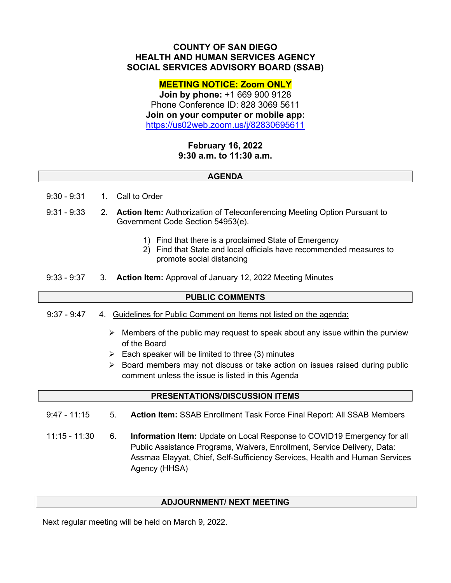# **COUNTY OF SAN DIEGO HEALTH AND HUMAN SERVICES AGENCY SOCIAL SERVICES ADVISORY BOARD (SSAB)**

## **MEETING NOTICE: Zoom ONLY**

**Join by phone:** +1 669 900 9128 Phone Conference ID: 828 3069 5611 **Join on your computer or mobile app:** <https://us02web.zoom.us/j/82830695611>

# **February 16, 2022 9:30 a.m. to 11:30 a.m.**

#### **AGENDA**

- 9:30 9:31 1. Call to Order
- 9:31 9:33 2. **Action Item:** Authorization of Teleconferencing Meeting Option Pursuant to Government Code Section 54953(e).
	- 1) Find that there is a proclaimed State of Emergency
	- 2) Find that State and local officials have recommended measures to promote social distancing
- 9:33 9:37 3. **Action Item:** Approval of January 12, 2022 Meeting Minutes

### **PUBLIC COMMENTS**

- 9:37 9:47 4. Guidelines for Public Comment on Items not listed on the agenda:
	- $\triangleright$  Members of the public may request to speak about any issue within the purview of the Board
	- $\triangleright$  Each speaker will be limited to three (3) minutes
	- $\triangleright$  Board members may not discuss or take action on issues raised during public comment unless the issue is listed in this Agenda

#### **PRESENTATIONS/DISCUSSION ITEMS**

- 9:47 11:15 5. **Action Item:** SSAB Enrollment Task Force Final Report: All SSAB Members
- 11:15 11:30 6. **Information Item:** Update on Local Response to COVID19 Emergency for all Public Assistance Programs, Waivers, Enrollment, Service Delivery, Data: Assmaa Elayyat, Chief, Self-Sufficiency Services, Health and Human Services Agency (HHSA)

### **ADJOURNMENT/ NEXT MEETING**

Next regular meeting will be held on March 9, 2022.